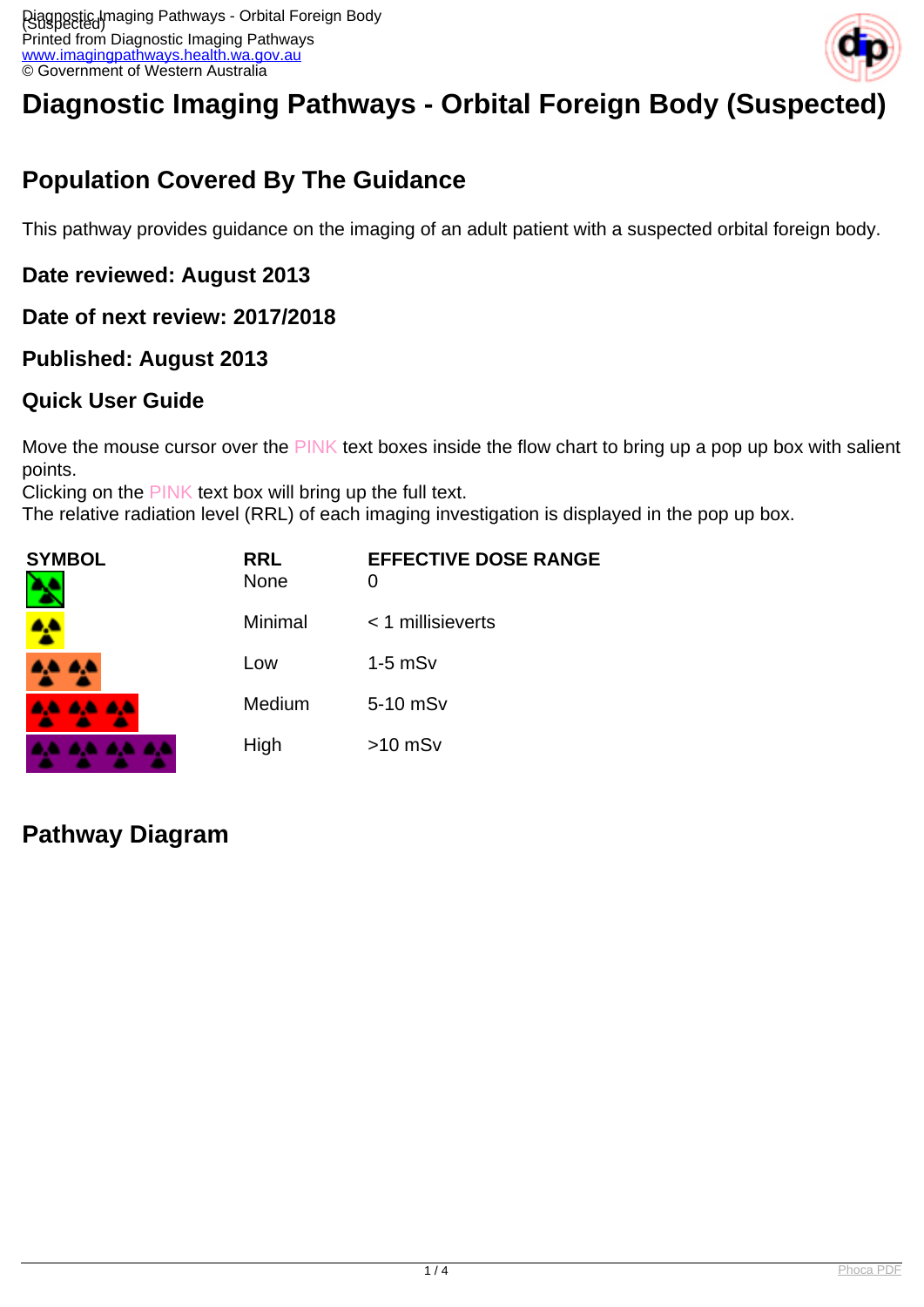

# **Diagnostic Imaging Pathways - Orbital Foreign Body (Suspected)**

# **Population Covered By The Guidance**

This pathway provides guidance on the imaging of an adult patient with a suspected orbital foreign body.

### **Date reviewed: August 2013**

### **Date of next review: 2017/2018**

### **Published: August 2013**

### **Quick User Guide**

Move the mouse cursor over the PINK text boxes inside the flow chart to bring up a pop up box with salient points.

Clicking on the PINK text box will bring up the full text.

The relative radiation level (RRL) of each imaging investigation is displayed in the pop up box.

| <b>SYMBOL</b><br>٦ | <b>RRL</b><br><b>None</b> | <b>EFFECTIVE DOSE RANGE</b><br>0 |
|--------------------|---------------------------|----------------------------------|
|                    | Minimal                   | $<$ 1 millisieverts              |
| A.A. 4,4           | Low                       | $1-5$ mS $v$                     |
| <b>AA AA AA</b>    | Medium                    | 5-10 mSv                         |
| .                  | High                      | $>10$ mSv                        |

### **Pathway Diagram**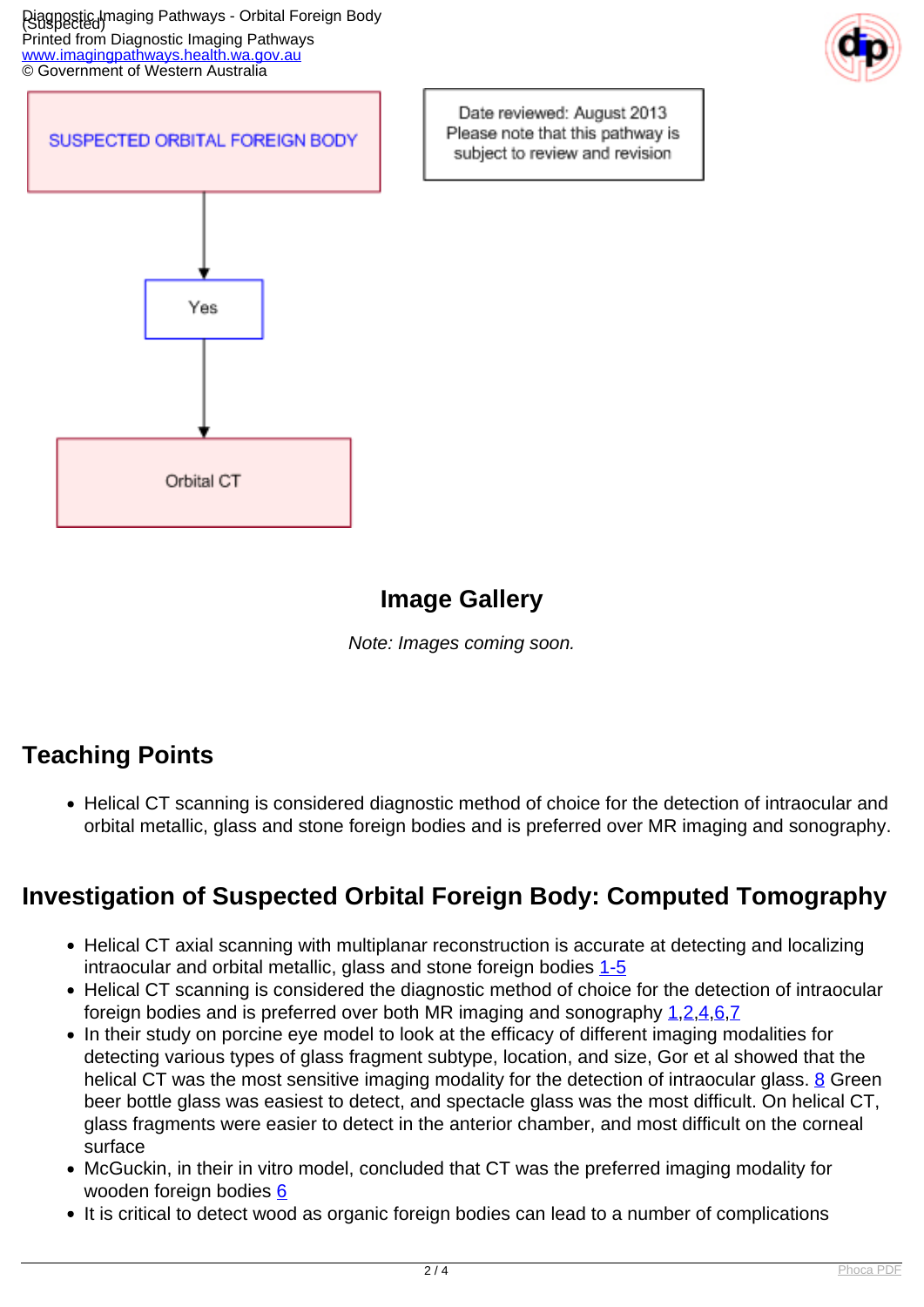Piagnostic Imaging Pathways - Orbital Foreign Body Printed from Diagnostic Imaging Pathways [www.imagingpathways.health.wa.gov.au](http://www.imagingpathways.health.wa.gov.au/) © Government of Western Australia





Date reviewed: August 2013 Please note that this pathway is subject to review and revision

## **Image Gallery**

Note: Images coming soon.

# **Teaching Points**

Helical CT scanning is considered diagnostic method of choice for the detection of intraocular and orbital metallic, glass and stone foreign bodies and is preferred over MR imaging and sonography.

# **Investigation of Suspected Orbital Foreign Body: Computed Tomography**

- Helical CT axial scanning with multiplanar reconstruction is accurate at detecting and localizing intraocular and orbital metallic, glass and stone foreign bodies [1-5](index.php?option=com_content&view=article&id=128&tab=references#1)
- Helical CT scanning is considered the diagnostic method of choice for the detection of intraocular foreign bodies and is preferred over both MR imaging and sonography [1](index.php?option=com_content&view=article&id=128&tab=references#1)[,2](index.php?option=com_content&view=article&id=128&tab=references#2)[,4](index.php?option=com_content&view=article&id=128&tab=references#4)[,6](index.php?option=com_content&view=article&id=128&tab=references#6)[,7](index.php?option=com_content&view=article&id=128&tab=references#7)
- In their study on porcine eye model to look at the efficacy of different imaging modalities for detecting various types of glass fragment subtype, location, and size, Gor et al showed that the helical CT was the most sensitive imaging modality for the detection of intraocular glass. [8](index.php?option=com_content&view=article&id=128&tab=references#8) Green beer bottle glass was easiest to detect, and spectacle glass was the most difficult. On helical CT, glass fragments were easier to detect in the anterior chamber, and most difficult on the corneal surface
- McGuckin, in their in vitro model, concluded that CT was the preferred imaging modality for wooden foreign bodies [6](index.php?option=com_content&view=article&id=128&tab=references#6)
- It is critical to detect wood as organic foreign bodies can lead to a number of complications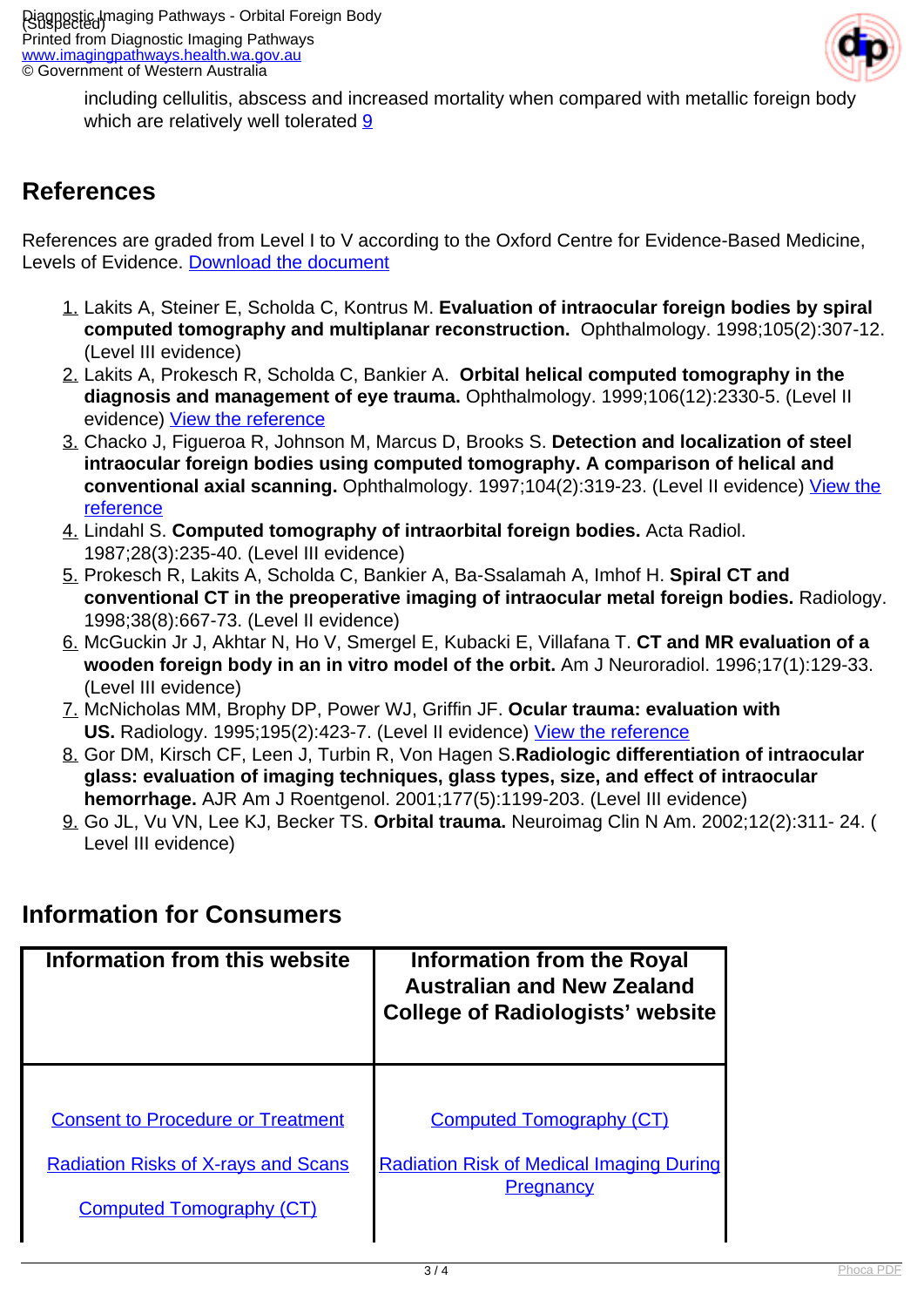

including cellulitis, abscess and increased mortality when compared with metallic foreign body which are relatively well tolerated [9](index.php?option=com_content&view=article&id=128&tab=references#9)

### **References**

References are graded from Level I to V according to the Oxford Centre for Evidence-Based Medicine, Levels of Evidence. [Download the document](http://www.cebm.net/wp-content/uploads/2014/06/CEBM-Levels-of-Evidence-2.1.pdf)

- 1. Lakits A, Steiner E, Scholda C, Kontrus M. **Evaluation of intraocular foreign bodies by spiral computed tomography and multiplanar reconstruction.** Ophthalmology. 1998;105(2):307-12. (Level III evidence)
- 2. Lakits A, Prokesch R, Scholda C, Bankier A. **Orbital helical computed tomography in the diagnosis and management of eye trauma.** Ophthalmology. 1999;106(12):2330-5. (Level II evidence) [View the reference](http://www.ncbi.nlm.nih.gov/pubmed/10599667)
- 3. Chacko J, Figueroa R, Johnson M, Marcus D, Brooks S. **Detection and localization of steel intraocular foreign bodies using computed tomography. A comparison of helical and conventional axial scanning.** Ophthalmology. 1997;104(2):319-23. (Level II evidence) [View the](http://www.ncbi.nlm.nih.gov/pubmed/9052639?dopt=Abstract) [reference](http://www.ncbi.nlm.nih.gov/pubmed/9052639?dopt=Abstract)
- 4. Lindahl S. **Computed tomography of intraorbital foreign bodies.** Acta Radiol. 1987;28(3):235-40. (Level III evidence)
- 5. Prokesch R, Lakits A, Scholda C, Bankier A, Ba-Ssalamah A, Imhof H. **Spiral CT and conventional CT in the preoperative imaging of intraocular metal foreign bodies.** Radiology. 1998;38(8):667-73. (Level II evidence)
- 6. McGuckin Jr J, Akhtar N, Ho V, Smergel E, Kubacki E, Villafana T. **CT and MR evaluation of a wooden foreign body in an in vitro model of the orbit.** Am J Neuroradiol. 1996;17(1):129-33. (Level III evidence)
- 7. McNicholas MM, Brophy DP, Power WJ, Griffin JF. **Ocular trauma: evaluation with** US. Radiology. 1995;195(2):423-7. (Level II evidence) [View the reference](http://www.ncbi.nlm.nih.gov/pubmed/7724761?dopt=Abstract)
- 8. Gor DM, Kirsch CF, Leen J, Turbin R, Von Hagen S.**Radiologic differentiation of intraocular glass: evaluation of imaging techniques, glass types, size, and effect of intraocular hemorrhage.** AJR Am J Roentgenol. 2001;177(5):1199-203. (Level III evidence)
- 9. Go JL, Vu VN, Lee KJ, Becker TS. **Orbital trauma.** Neuroimag Clin N Am. 2002;12(2):311- 24. ( Level III evidence)

### **Information for Consumers**

| Information from this website              | Information from the Royal<br><b>Australian and New Zealand</b><br><b>College of Radiologists' website</b> |
|--------------------------------------------|------------------------------------------------------------------------------------------------------------|
| <b>Consent to Procedure or Treatment</b>   | <b>Computed Tomography (CT)</b>                                                                            |
| <b>Radiation Risks of X-rays and Scans</b> | <b>Radiation Risk of Medical Imaging During</b>                                                            |
| <b>Computed Tomography (CT)</b>            | Pregnancy                                                                                                  |